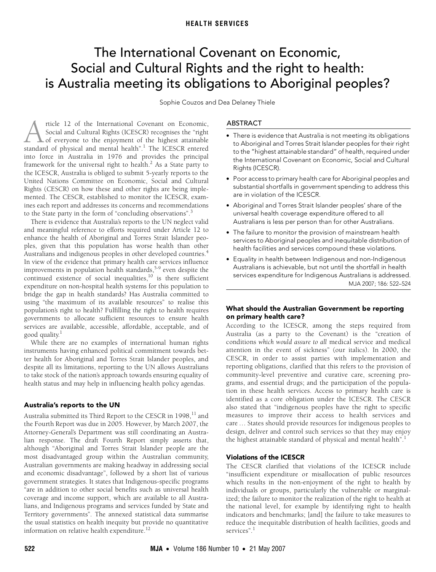# <span id="page-0-0"></span>The International Covenant on Economic, Social and Cultural Rights and the right to health: is Australia meeting its obligations to Aboriginal peoples?

Sophie Couzos and Dea Delaney Thiele

framework for the universal right to health. $^2$  As a State party to the ICESCR, Australia is oblige[d to](#page-0-0) submit 5-yearly reports to the United Nations Committee on Economic, Social and Cultural Rights (CESCR) on how these and other rights are being implemented. The CESCR, established to monitor the ICESCR, examrticle 12 of the International Covenant on Economic, Social and Cultural Rights (ICESCR) recognises the "right  $\blacktriangle$  of everyone to the enjoyment of the highest attainable Tricle 12 of the International Covenant on Economic,<br>Social and Cultural Rights (ICESCR) recognises the "right<br>of everyone to the enjoyment of the highest attainable<br>standard of physical and mental health".<sup>1</sup> The ICESCR e into force in Australia in 1976 and provides the principal ines each report and addresses its concerns and recommendations to the State party in the form of "concluding observations".<sup>3</sup>

There is evidence that Australia's reports to the UN neglect valid and meaningful reference to efforts required under Article 12 to enhance the health of Aboriginal and Torres Strait Islander peoples, given that this population has worse health than other Australians and indigenous peoples in other developed countries.<sup>4</sup> In view of the evidence that primary health care services influence improvements in population health standards,<sup>5-9</sup> even despite the continued existence of social inequalities, $10$  is there sufficient expenditure on non-hospital health systems for this population to bridge the gap in health standards? Has Australia committed to using "the maximum of its available resources" to realise this population's right to health? Fulfilling the right to health requires governments to allocate sufficient resources to ensure health services are available, accessible, affordable, acceptable, and of good quality.<sup>1</sup>

While there are no examples of international human rights instruments having enhanced political commitment towards better health for Aboriginal and Torres Strait Islander peoples, and despite all its limitations, reporting to the UN allows Australians to take stock of the nation's approach towards ensuring equality of health status and may help in influencing health policy agendas.

## Australia's reports to the UN

Australia submitted its Third Report to the CESCR in 1998, <sup>11</sup> and the Fourth Report was due in 2005. However, by March 2007, the Attorney-General's Department was still coordinating an Australian response. The draft Fourth Report simply asserts that, although "Aboriginal and Torres Strait Islander people are the most disadvantaged group within the Australian community, Australian governments are making headway in addressing social and economic disadvantage", followed by a short list of various government strategies. It states that Indigenous-specific programs "are in addition to other social benefits such as universal health coverage and income support, which are available to all Australians, and Indigenous programs and services funded by State and Territory governments". The annexed statistical data summarise the usual statistics on health inequity but provide no quantitative information on relative health expenditure.<sup>12</sup>

#### ABSTRACT

- There is evidence that Australia is not meeting its obligations to Aboriginal and Torres Strait Islander peoples for their right to the "highest attainable standard" of health, required under the International Covenant on Economic, Social and Cultural Rights (ICESCR).
- Poor access to primary health care for Aboriginal peoples and substantial shortfalls in government spending to address this are in violation of the ICESCR.
- Aboriginal and Torres Strait Islander peoples' share of the universal health coverage expenditure offered to all Australians is less per person than for other Australians.
- The failure to monitor the provision of mainstream health services to Aboriginal peoples and inequitable distribution of health facilities and services compound these violations.
- Equality in health between Indigenous and non-Indigenous Australians is achievable, but not until the shortfall in health MJA 2007; 186: 522–524 services expenditure for Indigenous Australians is addressed.

#### What should the Australian Government be reporting on primary health care?

According to the ICESCR, among the steps required from Australia (as a party to the Covenant) is the "creation of conditions *which would assure to all* medical service and medical attention in the event of sickness" (our italics). In 2000, the CESCR, in order to assist parties with implementation and reporting obligations, clarified that this refers to the provision of community-level preventive and curative care, screening programs, and essential drugs; and the participation of the population in these health services. Access to primary health care is identified as a core obligation under the ICESCR. The CESCR also stated that "indigenous peoples have the right to specific measures to improve their access to health services and care … States should provide resources for indigenous peoples to design, deliver and control such services so that they may enjoy the highest attainable standard of physical and mental health".<sup>1</sup>

#### Violations of the ICESCR

The CESCR clarified that violations of the ICESCR include "insufficient expenditure or misallocation of public resources which results in the non-enjoyment of the right to health by individuals or groups, particularly the vulnerable or marginalized; the failure to monitor the realization of the right to health at the national level, for example by identifying right to health indicators and benchmarks; [and] the failure to take measures to reduce the inequitable distribution of health facilities, goods and services".<sup>1</sup>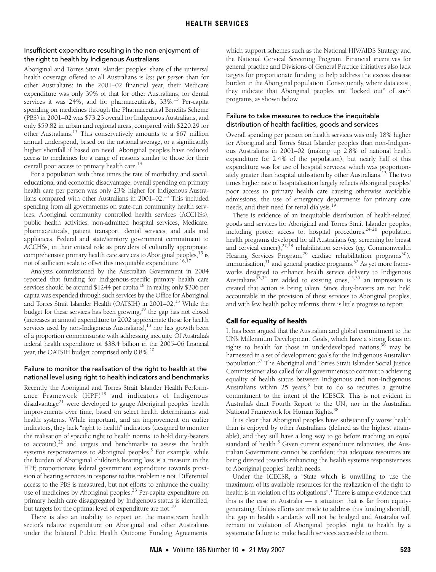## Insufficient expenditure resulting in the non-enjoyment of the right to health by Indigenous Australians

Aboriginal and Torres Strait Islander peoples' share of the universal health coverage offered to all Australians is *less per person* than for other Australians: in the 2001–02 financial year, their Medicare expenditure was only 39% of that for other Australians; for dental services it was 24%; and for pharmaceuticals, 33%.<sup>13</sup> Per-capita spending on medicines through the Pharmaceutical Benefits Scheme (PBS) in 2001–02 was \$73.23 overall for Indigenous Australians, and only \$59.82 in urban and regional areas, compared with \$220.29 for other Australians.13 This conservatively amounts to a \$67 million annual underspend, based on the national average, or a significantly higher shortfall if based on need. Aboriginal peoples have reduced access to medicines for a range of reasons similar to those for their overall poor access to primary health care.<sup>14</sup>

For a population with three times the rate of morbidity, and social, educational and economic disadvantage, overall spending on primary health care per person was only 23% higher for Indigenous Australians compared with other Australians in  $2001-02$ <sup>13</sup>. This included spending from all governments on state-run community health services, Aboriginal community controlled health services (ACCHSs), public health activities, non-admitted hospital services, Medicare, pharmaceuticals, patient transport, dental services, and aids and appliances. Federal and state/territory government commitment to ACCHSs, in their critical role as providers of culturally appropriate, comprehensive primary health care services to Aboriginal peoples,<sup>15</sup> is not of sufficient scale to offset this inequitable expenditure.16,17

Analysts commissioned by the Australian Government in 2004 reported that funding for Indigenous-specific primary health care services should be around \$1244 per capita.<sup>18</sup> In reality, only \$306 per capita was expended through such services by the Office for Aboriginal and Torres Strait Islander Health (OATSIH) in 2001–02.13 While the budget for these services has been growing, $19$  the gap has not closed (increases in annual expenditure to 2002 approximate those for health services used by non-Indigenous Australians),<sup>13</sup> nor has growth been of a proportion commensurate with addressing inequity. Of Australia's federal health expenditure of \$38.4 billion in the 2005–06 financial year, the OATSIH budget comprised only 0.8%.<sup>20</sup>

## Failure to monitor the realisation of the right to health at the national level using right to health indicators and benchmarks

Recently, the Aboriginal and Torres Strait Islander Health Performance Framework  $(HPF)^{19}$  and indicators of Indigenous disadvantage<sup>21</sup> were developed to gauge Aboriginal peoples' health improvements over time, based on select health determinants and health systems. While important, and an improvement on earlier indicators, they lack "right to health" indicators (designed to monitor the realisation of specific right to health norms, to hold duty-bearers to account),<sup>22</sup> and targets and benchmarks to assess the health system's responsiveness to Aboriginal peoples.<sup>5</sup> For example, while the burden of Aboriginal children's hearing loss is a measure in the HPF, proportionate federal government expenditure towards provision of hearing services in response to this problem is not. Differential access to the PBS is measured, but not efforts to enhance the quality use of medicines by Aboriginal peoples.<sup>23</sup> Per-capita expenditure on primary health care disaggregated by Indigenous status is identified, but targets for the optimal level of expenditure are not.<sup>19</sup>

There is also an inability to report on the mainstream health sector's relative expenditure on Aboriginal and other Australians under the bilateral Public Health Outcome Funding Agreements, which support schemes such as the National HIV/AIDS Strategy and the National Cervical Screening Program. Financial incentives for general practice and Divisions of General Practice initiatives also lack targets for proportionate funding to help address the excess disease burden in the Aboriginal population. Consequently, where data exist, they indicate that Aboriginal peoples are "locked out" of such programs, as shown below.

## Failure to take measures to reduce the inequitable distribution of health facilities, goods and services

Overall spending per person on health services was only 18% higher for Aboriginal and Torres Strait Islander peoples than non-Indigenous Australians in 2001–02 (making up 2.8% of national health expenditure for 2.4% of the population), but nearly half of this expenditure was for use of hospital services, which was proportionately greater than hospital utilisation by other Australians.13 The two times higher rate of hospitalisation largely reflects Aboriginal peoples' poor access to primary health care causing otherwise avoidable admissions, the use of emergency departments for primary care needs, and their need for renal dialysis.<sup>19</sup>

There is evidence of an inequitable distribution of health-related goods and services for Aboriginal and Torres Strait Islander peoples, including poorer access to: hospital procedures, $24-26$  $24-26$  population health programs developed for all Australians (eg, screening for breast and cervical cancer),<sup>27,28</sup> rehabilitation services (eg, Commonwealth Hearing Services Program,<sup>29</sup> cardiac rehabilitation programs<sup>30</sup>), immunisation, $31$  and general practice programs.<sup>32</sup> As yet more frameworks designed to enhance health service delivery to Indigenous Australians<sup>33,34</sup> are added to existing ones,<sup>15,35</sup> an impression is created that action is being taken. Since duty-bearers are not held accountable in the provision of these services to Aboriginal peoples, and with few health policy reforms, there is little progress to report.

## Call for equality of health

It has been argued that the Australian and global commitment to the UN's Millennium Development Goals, which have a strong focus on rights to health for those in underdeveloped nations,  $36$  may be harnessed in a set of development goals for the Indigenous Australian population.37 The Aboriginal and Torres Strait Islander Social Justice Commissioner also called for all governments to commit to achieving equality of health status between Indigenous and non-Indigenous Australians within 25 years,<sup>5</sup> but to do so requires a genuine commitment to the intent of the ICESCR. This is not evident in Australia's draft Fourth Report to the UN, nor in the Australian National Framework for Human Rights.<sup>38</sup>

It is clear that Aboriginal peoples have substantially worse health than is enjoyed by other Australians (defined as the highest attainable), and they still have a long way to go before reaching an equal standard of health.<sup>5</sup> Given current expenditure relativities, the Australian Government cannot be confident that adequate resources are being directed towards enhancing the health system's responsiveness to Aboriginal peoples' health needs.

Under the ICECSR, a "State which is unwilling to use the maximum of its available resources for the realization of the right to health is in violation of its obligations".<sup>1</sup> There is ample evidence that this is the case in Australia — a situation that is far from equitygenerating. Unless efforts are made to address this funding shortfall, the gap in health standards will not be bridged and Australia will remain in violation of Aboriginal peoples' right to health by a systematic failure to make health services accessible to them.